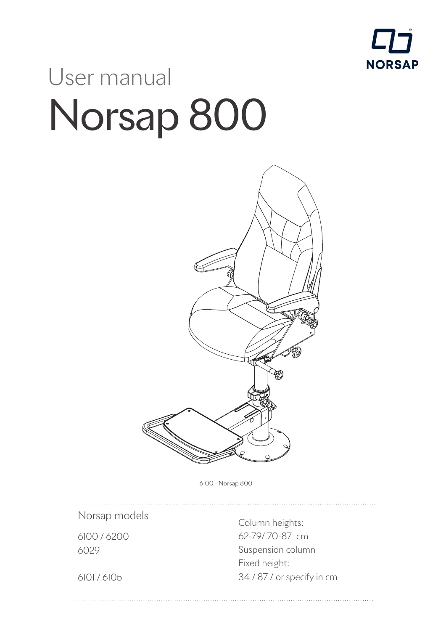

# User manual Norsap 800



6100 - Norsap 800

Norsap models

6100 / 6200 6029

Column heights: 62-79/ 70-87 cm Suspension column Fixed height: 34 / 87 / or specify in cm

. . . . . . . . . . . . . . . . . . . .

6101 / 6105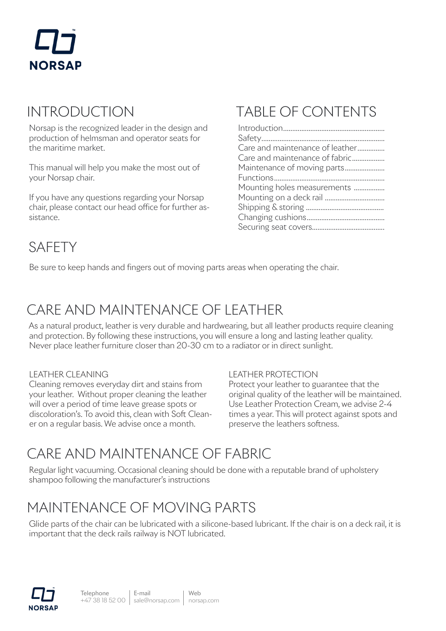# **NORSAP**

#### INTRODUCTION

Norsap is the recognized leader in the design and production of helmsman and operator seats for the maritime market.

This manual will help you make the most out of your Norsap chair.

If you have any questions regarding your Norsap chair, please contact our head office for further assistance.

#### TABLE OF CONTENTS

| Care and maintenance of leather |
|---------------------------------|
| Care and maintenance of fabric  |
| Maintenance of moving parts     |
|                                 |
| Mounting holes measurements     |
|                                 |
|                                 |
|                                 |
|                                 |
|                                 |

#### SAFETY

Be sure to keep hands and fingers out of moving parts areas when operating the chair.

### CARE AND MAINTENANCE OF LEATHER

As a natural product, leather is very durable and hardwearing, but all leather products require cleaning and protection. By following these instructions, you will ensure a long and lasting leather quality. Never place leather furniture closer than 20-30 cm to a radiator or in direct sunlight.

#### LEATHER CLEANING

Cleaning removes everyday dirt and stains from your leather. Without proper cleaning the leather will over a period of time leave grease spots or discoloration's. To avoid this, clean with Soft Cleaner on a regular basis. We advise once a month.

#### LEATHER PROTECTION

Protect your leather to guarantee that the original quality of the leather will be maintained. Use Leather Protection Cream, we advise 2-4 times a year. This will protect against spots and preserve the leathers softness.

### CARE AND MAINTENANCE OF FABRIC

Regular light vacuuming. Occasional cleaning should be done with a reputable brand of upholstery shampoo following the manufacturer's instructions

#### MAINTENANCE OF MOVING PARTS

Glide parts of the chair can be lubricated with a silicone-based lubricant. If the chair is on a deck rail, it is important that the deck rails railway is NOT lubricated.

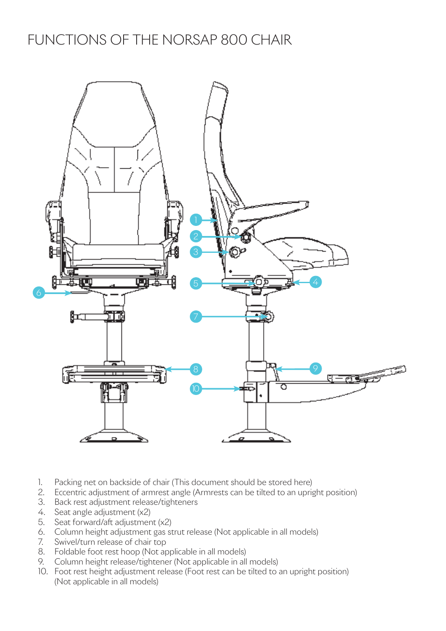#### FUNCTIONS OF THE NORSAP 800 CHAIR



- 1. Packing net on backside of chair (This document should be stored here)
- 2. Eccentric adjustment of armrest angle (Armrests can be tilted to an upright position)
- 3. Back rest adjustment release/tighteners
- 4. Seat angle adjustment (x2)
- 5. Seat forward/aft adjustment (x2)
- 6. Column height adjustment gas strut release (Not applicable in all models)
- 7. Swivel/turn release of chair top
- 8. Foldable foot rest hoop (Not applicable in all models)
- 9. Column height release/tightener (Not applicable in all models)
- 10. Foot rest height adjustment release (Foot rest can be tilted to an upright position) (Not applicable in all models)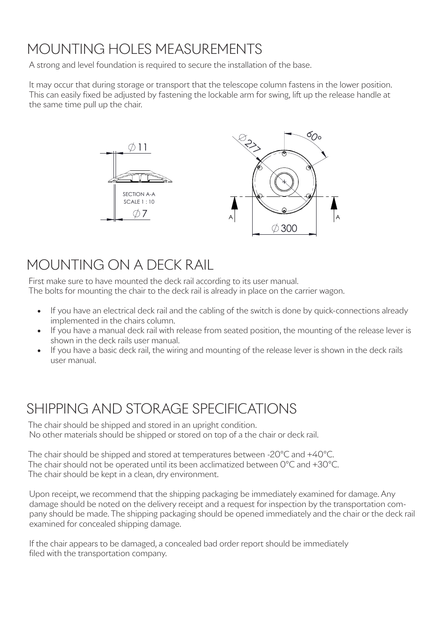### MOUNTING HOLES MEASUREMENTS

A strong and level foundation is required to secure the installation of the base.

It may occur that during storage or transport that the telescope column fastens in the lower position. This can easily fixed be adjusted by fastening the lockable arm for swing, lift up the release handle at the same time pull up the chair.



#### MOUNTING ON A DECK RAIL

First make sure to have mounted the deck rail according to its user manual. The bolts for mounting the chair to the deck rail is already in place on the carrier wagon.

- If you have an electrical deck rail and the cabling of the switch is done by quick-connections already implemented in the chairs column.
- If you have a manual deck rail with release from seated position, the mounting of the release lever is shown in the deck rails user manual.
- If you have a basic deck rail, the wiring and mounting of the release lever is shown in the deck rails user manual.

#### SHIPPING AND STORAGE SPECIFICATIONS

The chair should be shipped and stored in an upright condition. No other materials should be shipped or stored on top of a the chair or deck rail.

The chair should be shipped and stored at temperatures between -20°C and +40°C. The chair should not be operated until its been acclimatized between 0°C and +30°C. The chair should be kept in a clean, dry environment.

Upon receipt, we recommend that the shipping packaging be immediately examined for damage. Any damage should be noted on the delivery receipt and a request for inspection by the transportation company should be made. The shipping packaging should be opened immediately and the chair or the deck rail examined for concealed shipping damage.

If the chair appears to be damaged, a concealed bad order report should be immediately filed with the transportation company.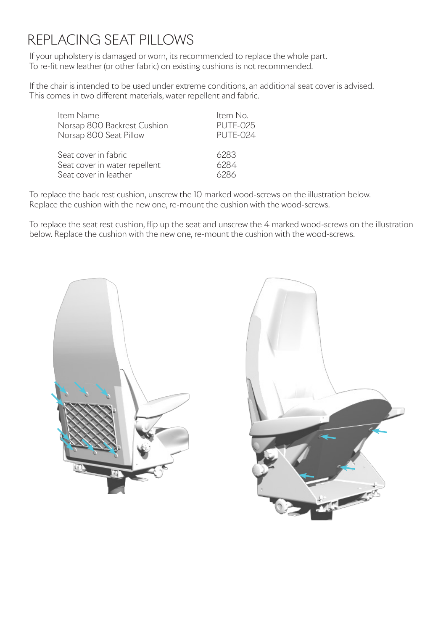#### REPLACING SEAT PILLOWS

If your upholstery is damaged or worn, its recommended to replace the whole part. To re-fit new leather (or other fabric) on existing cushions is not recommended.

If the chair is intended to be used under extreme conditions, an additional seat cover is advised. This comes in two different materials, water repellent and fabric.

| Item Name                     | Item No.        |
|-------------------------------|-----------------|
| Norsap 800 Backrest Cushion   | <b>PUTE-025</b> |
| Norsap 800 Seat Pillow        | <b>PUTE-024</b> |
| Seat cover in fabric          | 6283            |
| Seat cover in water repellent | 6284            |
| Seat cover in leather         | 6286            |

To replace the back rest cushion, unscrew the 10 marked wood-screws on the illustration below. Replace the cushion with the new one, re-mount the cushion with the wood-screws.

To replace the seat rest cushion, flip up the seat and unscrew the 4 marked wood-screws on the illustration below. Replace the cushion with the new one, re-mount the cushion with the wood-screws.



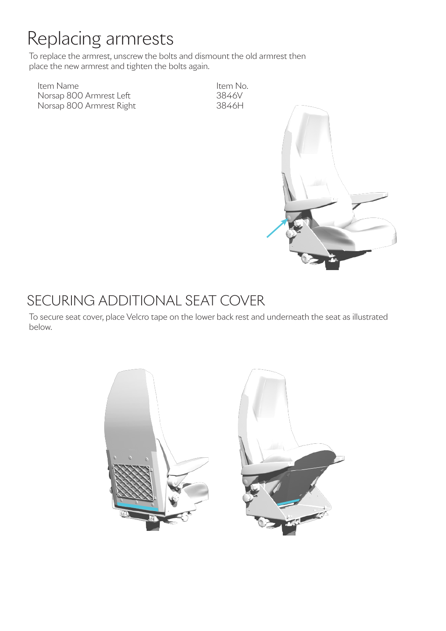## Replacing armrests

To replace the armrest, unscrew the bolts and dismount the old armrest then place the new armrest and tighten the bolts again.

Item Name Item No. Norsap 800 Armrest Left 3846V<br>Norsap 800 Armrest Right 3846H Norsap 800 Armrest Right



#### SECURING ADDITIONAL SEAT COVER

To secure seat cover, place Velcro tape on the lower back rest and underneath the seat as illustrated below.